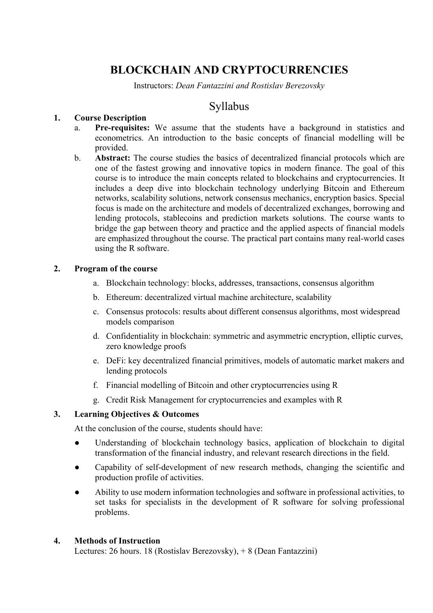# **BLOCKCHAIN AND CRYPTOCURRENCIES**

Instructors: *Dean Fantazzini and Rostislav Berezovsky*

# Syllabus

# **1. Course Description**

- a. **Pre-requisites:** We assume that the students have a background in statistics and econometrics. An introduction to the basic concepts of financial modelling will be provided.
- b. **Abstract:** The course studies the basics of decentralized financial protocols which are one of the fastest growing and innovative topics in modern finance. The goal of this course is to introduce the main concepts related to blockchains and cryptocurrencies. It includes a deep dive into blockchain technology underlying Bitcoin and Ethereum networks, scalability solutions, network consensus mechanics, encryption basics. Special focus is made on the architecture and models of decentralized exchanges, borrowing and lending protocols, stablecoins and prediction markets solutions. The course wants to bridge the gap between theory and practice and the applied aspects of financial models are emphasized throughout the course. The practical part contains many real-world cases using the R software.

# **2. Program of the course**

- a. Blockchain technology: blocks, addresses, transactions, consensus algorithm
- b. Ethereum: decentralized virtual machine architecture, scalability
- c. Consensus protocols: results about different consensus algorithms, most widespread models comparison
- d. Confidentiality in blockchain: symmetric and asymmetric encryption, elliptic curves, zero knowledge proofs
- e. DeFi: key decentralized financial primitives, models of automatic market makers and lending protocols
- f. Financial modelling of Bitcoin and other cryptocurrencies using R
- g. Credit Risk Management for cryptocurrencies and examples with R

# **3. Learning Objectives & Outcomes**

At the conclusion of the course, students should have:

- Understanding of blockchain technology basics, application of blockchain to digital transformation of the financial industry, and relevant research directions in the field.
- Capability of self-development of new research methods, changing the scientific and production profile of activities.
- Ability to use modern information technologies and software in professional activities, to set tasks for specialists in the development of R software for solving professional problems.

# **4. Methods of Instruction**

Lectures: 26 hours. 18 (Rostislav Berezovsky), + 8 (Dean Fantazzini)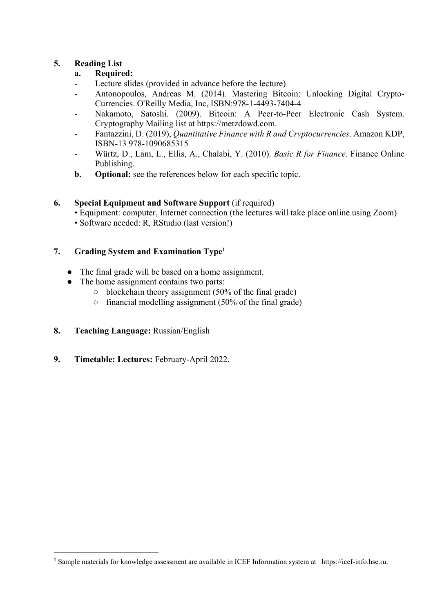# **5. Reading List**

# **a. Required:**

- Lecture slides (provided in advance before the lecture)
- Antonopoulos, Andreas M. (2014). Mastering Bitcoin: Unlocking Digital Crypto-Currencies. O'Reilly Media, Inc, ISBN:978-1-4493-7404-4
- Nakamoto, Satoshi. (2009). Bitcoin: A Peer-to-Peer Electronic Cash System. Cryptography Mailing list at https://metzdowd.com.
- Fantazzini, D. (2019), *Quantitative Finance with R and Cryptocurrencies*. Amazon KDP, ISBN-13 978-1090685315
- Würtz, D., Lam, L., Ellis, A., Chalabi, Y. (2010). *Basic R for Finance*. Finance Online Publishing.
- **b. Optional:** see the references below for each specific topic.

# **6. Special Equipment and Software Support** (if required)

- Equipment: computer, Internet connection (the lectures will take place online using Zoom)
- Software needed: R, RStudio (last version!)

# **7. Grading System and Examination Type1**

- The final grade will be based on a home assignment.
- The home assignment contains two parts:
	- $\circ$  blockchain theory assignment (50% of the final grade)
	- $\circ$  financial modelling assignment (50% of the final grade)
- **8. Teaching Language:** Russian/English
- **9. Timetable: Lectures:** February-April 2022.

<sup>1</sup> Sample materials for knowledge assessment are available in ICEF Information system at https://icef-info.hse.ru.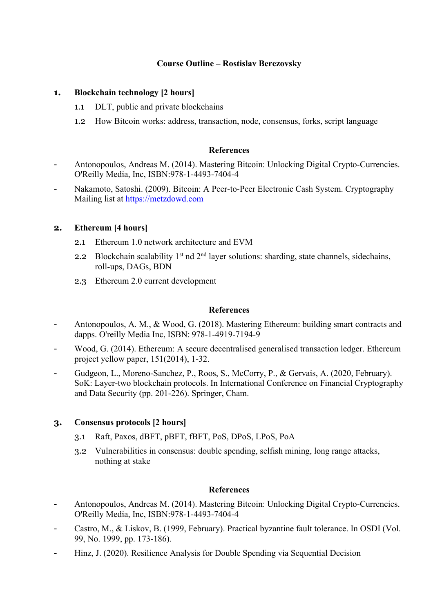# **Course Outline – Rostislav Berezovsky**

### **1. Blockchain technology [2 hours]**

- 1.1 DLT, public and private blockchains
- 1.2 How Bitcoin works: address, transaction, node, consensus, forks, script language

#### **References**

- Antonopoulos, Andreas M. (2014). Mastering Bitcoin: Unlocking Digital Crypto-Currencies. O'Reilly Media, Inc, ISBN:978-1-4493-7404-4
- Nakamoto, Satoshi. (2009). Bitcoin: A Peer-to-Peer Electronic Cash System. Cryptography Mailing list at https://metzdowd.com

#### **2. Ethereum [4 hours]**

- 2.1 Ethereum 1.0 network architecture and EVM
- 2.2 Blockchain scalability  $1<sup>st</sup>$  nd  $2<sup>nd</sup>$  layer solutions: sharding, state channels, sidechains, roll-ups, DAGs, BDN
- 2.3 Ethereum 2.0 current development

#### **References**

- Antonopoulos, A. M., & Wood, G. (2018). Mastering Ethereum: building smart contracts and dapps. O'reilly Media Inc, ISBN: 978-1-4919-7194-9
- Wood, G. (2014). Ethereum: A secure decentralised generalised transaction ledger. Ethereum project yellow paper, 151(2014), 1-32.
- Gudgeon, L., Moreno-Sanchez, P., Roos, S., McCorry, P., & Gervais, A. (2020, February). SoK: Layer-two blockchain protocols. In International Conference on Financial Cryptography and Data Security (pp. 201-226). Springer, Cham.

# **3. Consensus protocols [2 hours]**

- 3.1 Raft, Paxos, dBFT, pBFT, fBFT, PoS, DPoS, LPoS, PoA
- 3.2 Vulnerabilities in consensus: double spending, selfish mining, long range attacks, nothing at stake

#### **References**

- Antonopoulos, Andreas M. (2014). Mastering Bitcoin: Unlocking Digital Crypto-Currencies. O'Reilly Media, Inc, ISBN:978-1-4493-7404-4
- Castro, M., & Liskov, B. (1999, February). Practical byzantine fault tolerance. In OSDI (Vol. 99, No. 1999, pp. 173-186).
- Hinz, J. (2020). Resilience Analysis for Double Spending via Sequential Decision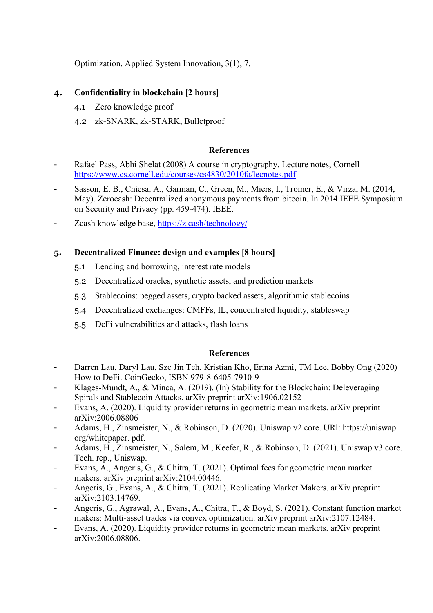Optimization. Applied System Innovation, 3(1), 7.

# **4. Confidentiality in blockchain [2 hours]**

- 4.1 Zero knowledge proof
- 4.2 zk-SNARK, zk-STARK, Bulletproof

### **References**

- Rafael Pass, Abhi Shelat (2008) A course in cryptography. Lecture notes, Cornell https://www.cs.cornell.edu/courses/cs4830/2010fa/lecnotes.pdf
- Sasson, E. B., Chiesa, A., Garman, C., Green, M., Miers, I., Tromer, E., & Virza, M. (2014, May). Zerocash: Decentralized anonymous payments from bitcoin. In 2014 IEEE Symposium on Security and Privacy (pp. 459-474). IEEE.
- Zcash knowledge base, https://z.cash/technology/

# **5. Decentralized Finance: design and examples [8 hours]**

- 5.1 Lending and borrowing, interest rate models
- 5.2 Decentralized oracles, synthetic assets, and prediction markets
- 5.3 Stablecoins: pegged assets, crypto backed assets, algorithmic stablecoins
- 5.4 Decentralized exchanges: CMFFs, IL, concentrated liquidity, stableswap
- 5.5 DeFi vulnerabilities and attacks, flash loans

# **References**

- Darren Lau, Daryl Lau, Sze Jin Teh, Kristian Kho, Erina Azmi, TM Lee, Bobby Ong (2020) How to DeFi. CoinGecko, ISBN 979-8-6405-7910-9
- Klages-Mundt, A., & Minca, A. (2019). (In) Stability for the Blockchain: Deleveraging Spirals and Stablecoin Attacks. arXiv preprint arXiv:1906.02152
- Evans, A. (2020). Liquidity provider returns in geometric mean markets. arXiv preprint arXiv:2006.08806
- Adams, H., Zinsmeister, N., & Robinson, D. (2020). Uniswap v2 core. URI: https://uniswap. org/whitepaper. pdf.
- Adams, H., Zinsmeister, N., Salem, M., Keefer, R., & Robinson, D. (2021). Uniswap v3 core. Tech. rep., Uniswap.
- Evans, A., Angeris, G., & Chitra, T. (2021). Optimal fees for geometric mean market makers. arXiv preprint arXiv:2104.00446.
- Angeris, G., Evans, A., & Chitra, T. (2021). Replicating Market Makers. arXiv preprint arXiv:2103.14769.
- Angeris, G., Agrawal, A., Evans, A., Chitra, T., & Boyd, S. (2021). Constant function market makers: Multi-asset trades via convex optimization. arXiv preprint arXiv:2107.12484.
- Evans, A. (2020). Liquidity provider returns in geometric mean markets. arXiv preprint arXiv:2006.08806.